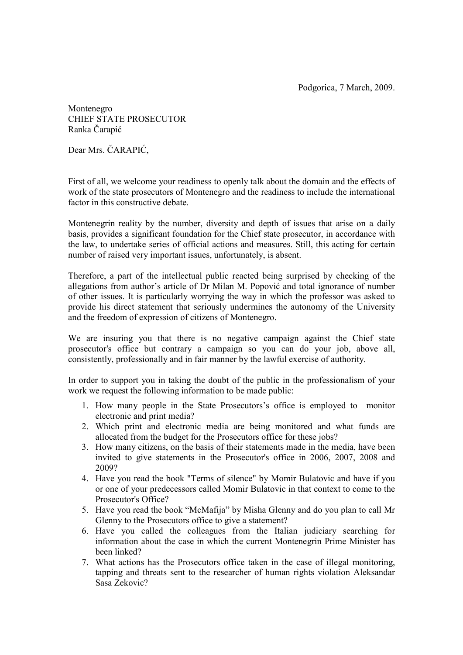Podgorica, 7 March, 2009.

Montenegro CHIEF STATE PROSECUTOR Ranka Čarapić

Dear Mrs. ČARAPIĆ,

First of all, we welcome your readiness to openly talk about the domain and the effects of work of the state prosecutors of Montenegro and the readiness to include the international factor in this constructive debate.

Montenegrin reality by the number, diversity and depth of issues that arise on a daily basis, provides a significant foundation for the Chief state prosecutor, in accordance with the law, to undertake series of official actions and measures. Still, this acting for certain number of raised very important issues, unfortunately, is absent.

Therefore, a part of the intellectual public reacted being surprised by checking of the allegations from author's article of Dr Milan M. Popović and total ignorance of number of other issues. It is particularly worrying the way in which the professor was asked to provide his direct statement that seriously undermines the autonomy of the University and the freedom of expression of citizens of Montenegro.

We are insuring you that there is no negative campaign against the Chief state prosecutor's office but contrary a campaign so you can do your job, above all, consistently, professionally and in fair manner by the lawful exercise of authority.

In order to support you in taking the doubt of the public in the professionalism of your work we request the following information to be made public:

- 1. How many people in the State Prosecutors's office is employed to monitor electronic and print media?
- 2. Which print and electronic media are being monitored and what funds are allocated from the budget for the Prosecutors office for these jobs?
- 3. How many citizens, on the basis of their statements made in the media, have been invited to give statements in the Prosecutor's office in 2006, 2007, 2008 and 2009?
- 4. Have you read the book "Terms of silence" by Momir Bulatovic and have if you or one of your predecessors called Momir Bulatovic in that context to come to the Prosecutor's Office?
- 5. Have you read the book "McMafija" by Misha Glenny and do you plan to call Mr Glenny to the Prosecutors office to give a statement?
- 6. Have you called the colleagues from the Italian judiciary searching for information about the case in which the current Montenegrin Prime Minister has been linked?
- 7. What actions has the Prosecutors office taken in the case of illegal monitoring, tapping and threats sent to the researcher of human rights violation Aleksandar Sasa Zekovic?